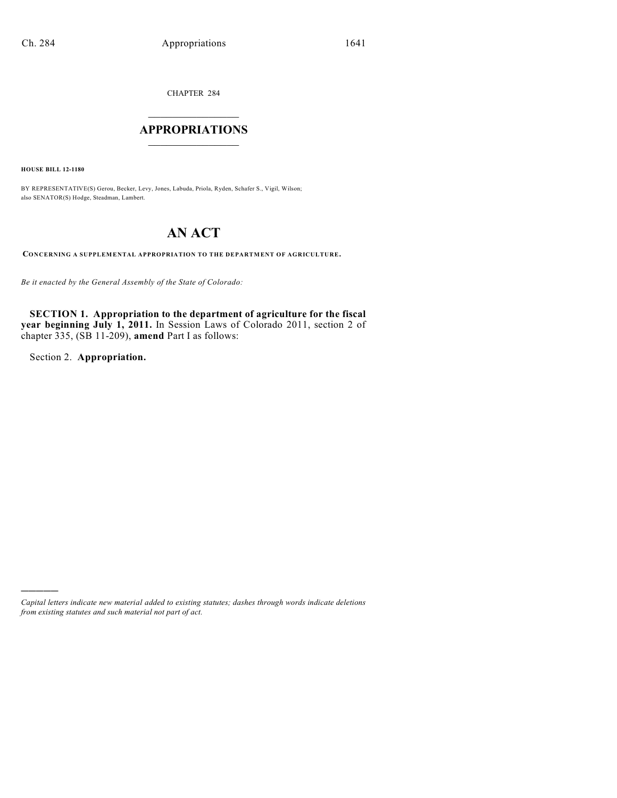CHAPTER 284

# $\overline{\phantom{a}}$  . The set of the set of the set of the set of the set of the set of the set of the set of the set of the set of the set of the set of the set of the set of the set of the set of the set of the set of the set o **APPROPRIATIONS**  $\_$   $\_$   $\_$   $\_$   $\_$   $\_$   $\_$   $\_$

**HOUSE BILL 12-1180**

BY REPRESENTATIVE(S) Gerou, Becker, Levy, Jones, Labuda, Priola, Ryden, Schafer S., Vigil, Wilson; also SENATOR(S) Hodge, Steadman, Lambert.

# **AN ACT**

**CONCERNING A SUPPLEMENTAL APPROPRIATION TO THE DEPARTMENT OF AGRICULTURE.**

*Be it enacted by the General Assembly of the State of Colorado:*

**SECTION 1. Appropriation to the department of agriculture for the fiscal year beginning July 1, 2011.** In Session Laws of Colorado 2011, section 2 of chapter 335, (SB 11-209), **amend** Part I as follows:

Section 2. **Appropriation.**

)))))

*Capital letters indicate new material added to existing statutes; dashes through words indicate deletions from existing statutes and such material not part of act.*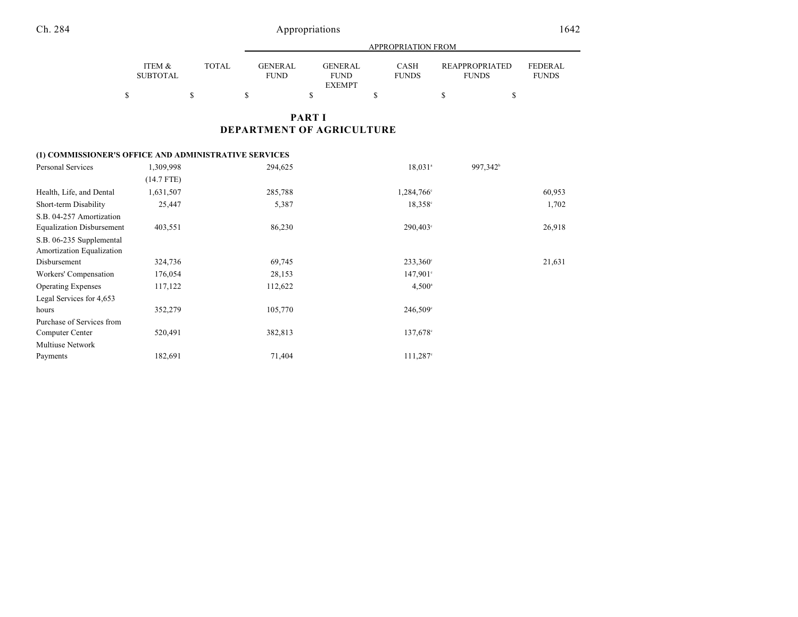|                           |       |                               |                         | APPROPRIATION FROM          |                                       |                                |
|---------------------------|-------|-------------------------------|-------------------------|-----------------------------|---------------------------------------|--------------------------------|
| ITEM &<br><b>SUBTOTAL</b> | TOTAL | <b>GENERAL</b><br><b>FUND</b> | GENER AL<br><b>FUND</b> | <b>CASH</b><br><b>FUNDS</b> | <b>REAPPROPRIATED</b><br><b>FUNDS</b> | <b>FEDERAL</b><br><b>FUNDS</b> |
|                           |       |                               | <b>EXEMPT</b>           |                             |                                       |                                |

### **PART I DEPARTMENT OF AGRICULTURE**

### **(1) COMMISSIONER'S OFFICE AND ADMINISTRATIVE SERVICES**

| Personal Services                | 1,309,998    | 294,625 | 18,031 <sup>a</sup> | 997,342 <sup>b</sup> |
|----------------------------------|--------------|---------|---------------------|----------------------|
|                                  | $(14.7$ FTE) |         |                     |                      |
| Health, Life, and Dental         | 1,631,507    | 285,788 | 1,284,766°          | 60,953               |
| Short-term Disability            | 25,447       | 5,387   | $18,358^{\circ}$    | 1,702                |
| S.B. 04-257 Amortization         |              |         |                     |                      |
| <b>Equalization Disbursement</b> | 403,551      | 86,230  | $290,403^{\circ}$   | 26,918               |
| S.B. 06-235 Supplemental         |              |         |                     |                      |
| Amortization Equalization        |              |         |                     |                      |
| Disbursement                     | 324,736      | 69,745  | $233,360^{\circ}$   | 21,631               |
| Workers' Compensation            | 176,054      | 28,153  | $147,901^{\circ}$   |                      |
| <b>Operating Expenses</b>        | 117,122      | 112,622 | $4,500^{\circ}$     |                      |
| Legal Services for 4,653         |              |         |                     |                      |
| hours                            | 352,279      | 105,770 | 246,509°            |                      |
| Purchase of Services from        |              |         |                     |                      |
| Computer Center                  | 520,491      | 382,813 | $137,678$ °         |                      |
| <b>Multiuse Network</b>          |              |         |                     |                      |
| Payments                         | 182,691      | 71,404  | $111,287$ °         |                      |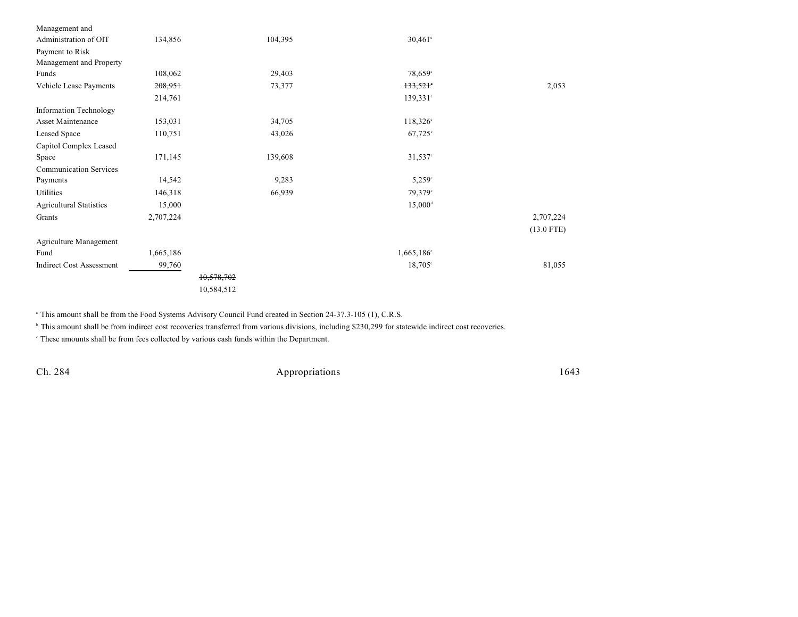| 134,856   |            | 104,395 |  |                                                                                                                                                                                                                   |
|-----------|------------|---------|--|-------------------------------------------------------------------------------------------------------------------------------------------------------------------------------------------------------------------|
|           |            |         |  |                                                                                                                                                                                                                   |
|           |            |         |  |                                                                                                                                                                                                                   |
| 108,062   |            | 29,403  |  |                                                                                                                                                                                                                   |
| 208,951   |            | 73,377  |  | 2,053                                                                                                                                                                                                             |
| 214,761   |            |         |  |                                                                                                                                                                                                                   |
|           |            |         |  |                                                                                                                                                                                                                   |
| 153,031   |            | 34,705  |  |                                                                                                                                                                                                                   |
| 110,751   |            | 43,026  |  |                                                                                                                                                                                                                   |
|           |            |         |  |                                                                                                                                                                                                                   |
| 171,145   |            | 139,608 |  |                                                                                                                                                                                                                   |
|           |            |         |  |                                                                                                                                                                                                                   |
| 14,542    |            | 9,283   |  |                                                                                                                                                                                                                   |
| 146,318   |            | 66,939  |  |                                                                                                                                                                                                                   |
| 15,000    |            |         |  |                                                                                                                                                                                                                   |
| 2,707,224 |            |         |  | 2,707,224                                                                                                                                                                                                         |
|           |            |         |  | $(13.0$ FTE)                                                                                                                                                                                                      |
|           |            |         |  |                                                                                                                                                                                                                   |
| 1,665,186 |            |         |  |                                                                                                                                                                                                                   |
| 99,760    |            |         |  | 81,055                                                                                                                                                                                                            |
|           | 10,578,702 |         |  |                                                                                                                                                                                                                   |
|           | 10,584,512 |         |  |                                                                                                                                                                                                                   |
|           |            |         |  | $30,461^{\circ}$<br>78,659°<br>$133,521$ °<br>$139,331$ °<br>$118,326^{\circ}$<br>$67,725$ °<br>$31,537$ °<br>$5,259^{\circ}$<br>79,379°<br>$15,000$ <sup>d</sup><br>$1,665,186$ <sup>c</sup><br>$18,705^{\circ}$ |

<sup>a</sup> This amount shall be from the Food Systems Advisory Council Fund created in Section 24-37.3-105 (1), C.R.S.

<sup>b</sup> This amount shall be from indirect cost recoveries transferred from various divisions, including \$230,299 for statewide indirect cost recoveries.

These amounts shall be from fees collected by various cash funds within the Department. <sup>c</sup>

Ch. 284 Appropriations 1643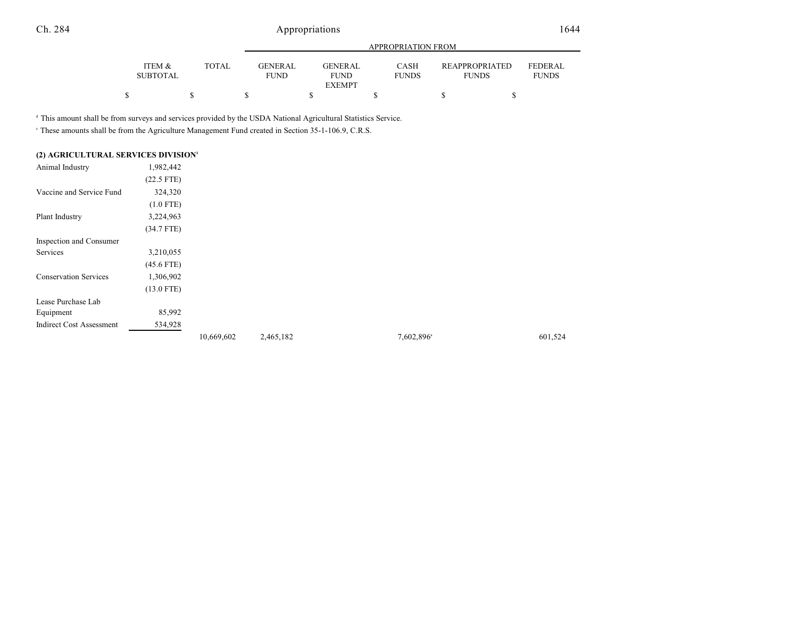|                           |              |                               |                                                | APPROPRIATION FROM   |                                |                                |
|---------------------------|--------------|-------------------------------|------------------------------------------------|----------------------|--------------------------------|--------------------------------|
| ITEM &<br><b>SUBTOTAL</b> | <b>TOTAL</b> | <b>GENERAL</b><br><b>FUND</b> | <b>GENERAL</b><br><b>FUND</b><br><b>EXEMPT</b> | CASH<br><b>FUNDS</b> | REAPPROPRIATED<br><b>FUNDS</b> | <b>FEDERAL</b><br><b>FUNDS</b> |
|                           |              |                               |                                                |                      |                                |                                |

<sup>d</sup> This amount shall be from surveys and services provided by the USDA National Agricultural Statistics Service.

<sup>e</sup> These amounts shall be from the Agriculture Management Fund created in Section 35-1-106.9, C.R.S.

| (2) AGRICULTURAL SERVICES DIVISION <sup>1</sup> |              |            |           |                        |         |
|-------------------------------------------------|--------------|------------|-----------|------------------------|---------|
| Animal Industry                                 | 1,982,442    |            |           |                        |         |
|                                                 | $(22.5$ FTE) |            |           |                        |         |
| Vaccine and Service Fund                        | 324,320      |            |           |                        |         |
|                                                 | $(1.0$ FTE)  |            |           |                        |         |
| Plant Industry                                  | 3,224,963    |            |           |                        |         |
|                                                 | $(34.7$ FTE) |            |           |                        |         |
| Inspection and Consumer                         |              |            |           |                        |         |
| Services                                        | 3,210,055    |            |           |                        |         |
|                                                 | $(45.6$ FTE) |            |           |                        |         |
| <b>Conservation Services</b>                    | 1,306,902    |            |           |                        |         |
|                                                 | $(13.0$ FTE) |            |           |                        |         |
| Lease Purchase Lab                              |              |            |           |                        |         |
| Equipment                                       | 85,992       |            |           |                        |         |
| <b>Indirect Cost Assessment</b>                 | 534,928      |            |           |                        |         |
|                                                 |              | 10,669,602 | 2,465,182 | 7,602,896 <sup>a</sup> | 601,524 |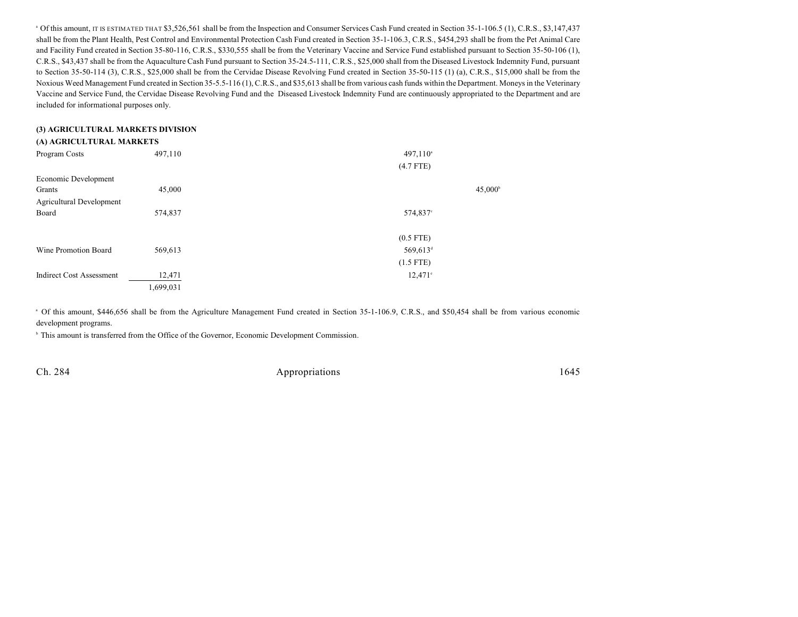<sup>a</sup> Of this amount, IT IS ESTIMATED THAT \$3,526,561 shall be from the Inspection and Consumer Services Cash Fund created in Section 35-1-106.5 (1), C.R.S., \$3,147,437 shall be from the Plant Health, Pest Control and Environmental Protection Cash Fund created in Section 35-1-106.3, C.R.S., \$454,293 shall be from the Pet Animal Care and Facility Fund created in Section 35-80-116, C.R.S., \$330,555 shall be from the Veterinary Vaccine and Service Fund established pursuant to Section 35-50-106 (1), C.R.S., \$43,437 shall be from the Aquaculture Cash Fund pursuant to Section 35-24.5-111, C.R.S., \$25,000 shall from the Diseased Livestock Indemnity Fund, pursuant to Section 35-50-114 (3), C.R.S., \$25,000 shall be from the Cervidae Disease Revolving Fund created in Section 35-50-115 (1) (a), C.R.S., \$15,000 shall be from the Noxious Weed Management Fund created in Section 35-5.5-116 (1), C.R.S., and \$35,613 shall be from various cash funds within the Department. Moneys in the Veterinary Vaccine and Service Fund, the Cervidae Disease Revolving Fund and the Diseased Livestock Indemnity Fund are continuously appropriated to the Department and are included for informational purposes only.

### **(3) AGRICULTURAL MARKETS DIVISION (A) AGRICULTURAL MARKETS**

| Program Costs                   | 497,110   | $497,110^{\circ}$    |                  |
|---------------------------------|-----------|----------------------|------------------|
|                                 |           | $(4.7$ FTE)          |                  |
| Economic Development            |           |                      |                  |
| Grants                          | 45,000    |                      | $45,000^{\circ}$ |
| Agricultural Development        |           |                      |                  |
| Board                           | 574,837   | 574,837°             |                  |
|                                 |           |                      |                  |
|                                 |           | $(0.5$ FTE)          |                  |
| Wine Promotion Board            | 569,613   | 569,613 <sup>d</sup> |                  |
|                                 |           | $(1.5$ FTE)          |                  |
| <b>Indirect Cost Assessment</b> | 12,471    | $12,471$ °           |                  |
|                                 | 1,699,031 |                      |                  |

<sup>a</sup> Of this amount, \$446,656 shall be from the Agriculture Management Fund created in Section 35-1-106.9, C.R.S., and \$50,454 shall be from various economic development programs.

<sup>b</sup> This amount is transferred from the Office of the Governor, Economic Development Commission.

Ch. 284 Appropriations 1645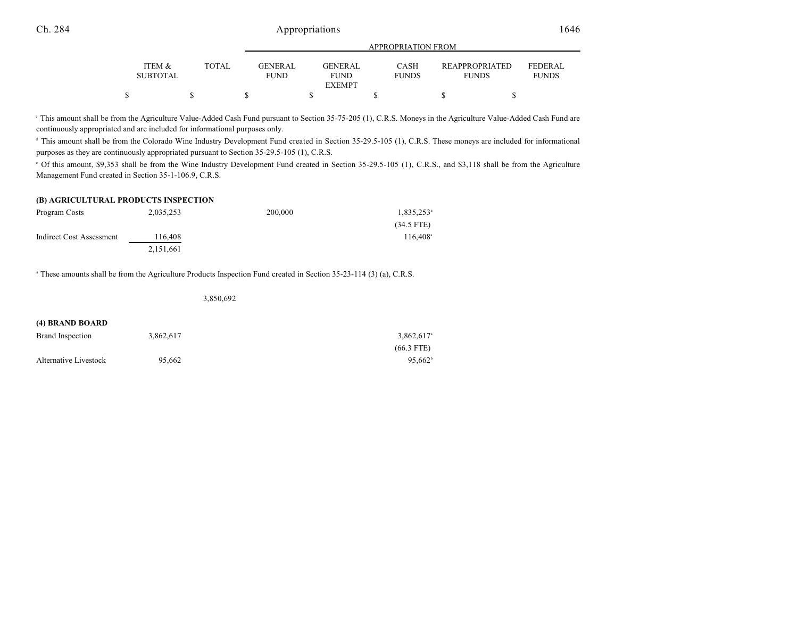|                 |       |                 |               | APPROPRIATION FROM |                |                |
|-----------------|-------|-----------------|---------------|--------------------|----------------|----------------|
| ITEM &          | TOTAL | <b>GENER AL</b> | GENERAL       | <b>CASH</b>        | REAPPROPRIATED | <b>FEDERAL</b> |
| <b>SUBTOTAL</b> |       | <b>FUND</b>     | <b>FUND</b>   | <b>FUNDS</b>       | <b>FUNDS</b>   | <b>FUNDS</b>   |
|                 |       |                 | <b>EXEMPT</b> |                    |                |                |
|                 |       |                 |               |                    |                |                |

 This amount shall be from the Agriculture Value-Added Cash Fund pursuant to Section 35-75-205 (1), C.R.S. Moneys in the Agriculture Value-Added Cash Fund are <sup>c</sup> continuously appropriated and are included for informational purposes only.

<sup>d</sup> This amount shall be from the Colorado Wine Industry Development Fund created in Section 35-29.5-105 (1), C.R.S. These moneys are included for informational purposes as they are continuously appropriated pursuant to Section 35-29.5-105 (1), C.R.S.

Of this amount, \$9,353 shall be from the Wine Industry Development Fund created in Section 35-29.5-105 (1), C.R.S., and \$3,118 shall be from the Agriculture <sup>e</sup> Management Fund created in Section 35-1-106.9, C.R.S.

#### **(B) AGRICULTURAL PRODUCTS INSPECTION**

| Program Costs            | 2,035,253 | 200,000 | $1,835,253$ <sup>a</sup> |
|--------------------------|-----------|---------|--------------------------|
|                          |           |         | $(34.5$ FTE)             |
| Indirect Cost Assessment | 116.408   |         | $116.408^{\circ}$        |
|                          | 2.151.661 |         |                          |

<sup>a</sup> These amounts shall be from the Agriculture Products Inspection Fund created in Section 35-23-114 (3) (a), C.R.S.

3,850,692

| (4) BRAND BOARD       |           |                          |
|-----------------------|-----------|--------------------------|
| Brand Inspection      | 3.862.617 | $3.862.617$ <sup>a</sup> |
|                       |           | $(66.3$ FTE)             |
| Alternative Livestock | 95.662    | $95.662^b$               |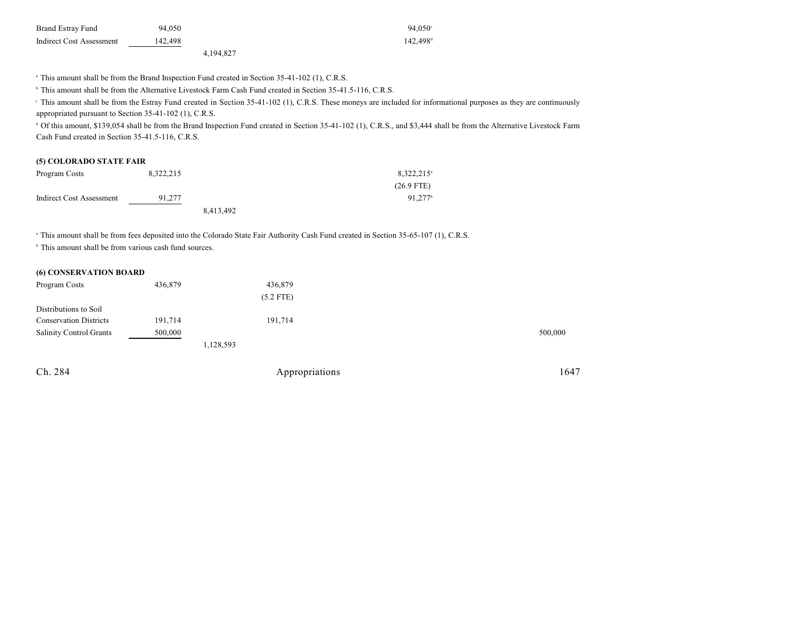| Brand Estray Fund        | 94.050  |           | $94.050^{\circ}$     |
|--------------------------|---------|-----------|----------------------|
| Indirect Cost Assessment | 142.498 |           | $142.498^{\text{d}}$ |
|                          |         | 4.194.827 |                      |

<sup>a</sup> This amount shall be from the Brand Inspection Fund created in Section 35-41-102 (1), C.R.S.

<sup>b</sup> This amount shall be from the Alternative Livestock Farm Cash Fund created in Section 35-41.5-116, C.R.S.

<sup>e</sup> This amount shall be from the Estray Fund created in Section 35-41-102 (1), C.R.S. These moneys are included for informational purposes as they are continuously appropriated pursuant to Section 35-41-102 (1), C.R.S.

<sup>d</sup> Of this amount, \$139,054 shall be from the Brand Inspection Fund created in Section 35-41-102 (1), C.R.S., and \$3,444 shall be from the Alternative Livestock Farm Cash Fund created in Section 35-41.5-116, C.R.S.

#### **(5) COLORADO STATE FAIR**

| Program Costs            | 8,322,215 |           | $8,322,215$ <sup>a</sup> |
|--------------------------|-----------|-----------|--------------------------|
|                          |           |           | $(26.9$ FTE)             |
| Indirect Cost Assessment | 91.277    |           | $91.277^{\circ}$         |
|                          |           | 8,413,492 |                          |

<sup>a</sup> This amount shall be from fees deposited into the Colorado State Fair Authority Cash Fund created in Section 35-65-107 (1), C.R.S.

 $\,^{\circ}$  This amount shall be from various cash fund sources.

#### **(6) CONSERVATION BOARD**

| 436,879     |         |
|-------------|---------|
| $(5.2$ FTE) |         |
|             |         |
| 191,714     |         |
|             | 500,000 |
| 1,128,593   |         |
|             |         |

Ch. 284 Appropriations 1647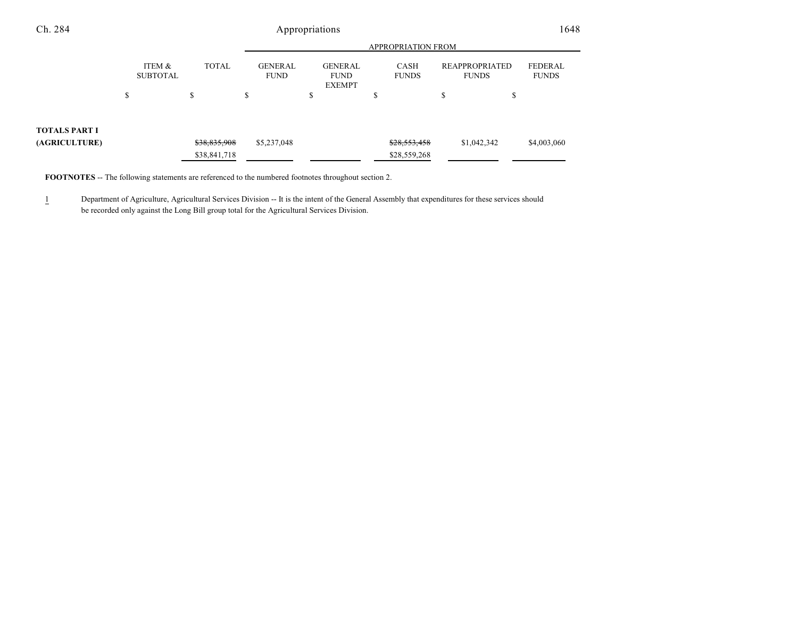| Ch. 284       | Appropriations |                           |              |   |                               |    |                                                |   |                             |    | 1648                           |                                |  |
|---------------|----------------|---------------------------|--------------|---|-------------------------------|----|------------------------------------------------|---|-----------------------------|----|--------------------------------|--------------------------------|--|
|               |                |                           |              |   | <b>APPROPRIATION FROM</b>     |    |                                                |   |                             |    |                                |                                |  |
|               |                | ITEM &<br><b>SUBTOTAL</b> | <b>TOTAL</b> |   | <b>GENERAL</b><br><b>FUND</b> |    | <b>GENERAL</b><br><b>FUND</b><br><b>EXEMPT</b> |   | <b>CASH</b><br><b>FUNDS</b> |    | REAPPROPRIATED<br><b>FUNDS</b> | <b>FEDERAL</b><br><b>FUNDS</b> |  |
|               | \$             |                           | \$           | ъ |                               | \$ |                                                | D |                             | \$ | \$                             |                                |  |
| TOTALS PART I |                |                           |              |   |                               |    |                                                |   |                             |    |                                |                                |  |
| (AGRICULTURE) |                |                           | \$38,835,908 |   | \$5,237,048                   |    |                                                |   | \$28,553,458                |    | \$1,042,342                    | \$4,003,060                    |  |
|               |                |                           | \$38,841,718 |   |                               |    |                                                |   | \$28,559,268                |    |                                |                                |  |

**FOOTNOTES** -- The following statements are referenced to the numbered footnotes throughout section 2.

1 Department of Agriculture, Agricultural Services Division -- It is the intent of the General Assembly that expenditures for these services should be recorded only against the Long Bill group total for the Agricultural Services Division.